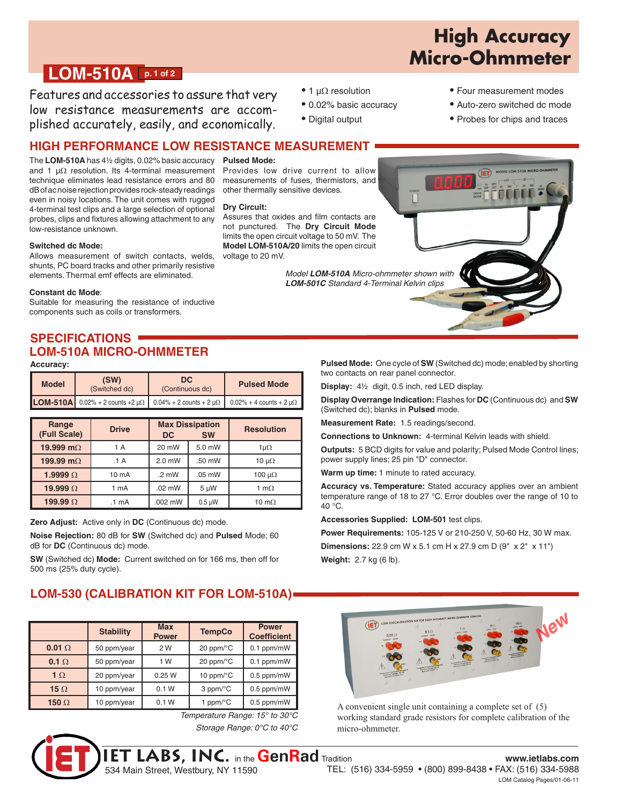# **High Accuracy** Micro-Ohmmeter

# **LOM-510A p. 1 of 2**

Features and accessories to assure that very low resistance measurements are accomplished accurately, easily, and economically.

## **HIGH PERFORMANCE LOW RESISTANCE MEASUREMENT**

**Pulsed Mode:**

**Dry Circuit:**

voltage to 20 mV.

The **LOM-510A** has 4½ digits, 0.02% basic accuracy and 1  $\mu\Omega$  resolution. Its 4-terminal measurement technique eliminates lead resistance errors and 80 dB of ac noise rejection provides rock-steady readings even in noisy locations. The unit comes with rugged 4-terminal test clips and a large selection of optional probes, clips and fixtures allowing attachment to any low-resistance unknown.

#### **Switched dc Mode:**

Allows measurement of switch contacts, welds, shunts, PC board tracks and other primarily resistive elements. Thermal emf effects are eliminated.

#### **Constant dc Mode**:

Suitable for measuring the resistance of inductive components such as coils or transformers.

### **SPECIFICATIONS LOM-510A MICRO-OHMMETER**

**Accuracy:**

| <b>Model</b> | (SW)<br>(Switched dc) | DC.<br>(Continuous dc)                                                                                          | <b>Pulsed Mode</b> |
|--------------|-----------------------|-----------------------------------------------------------------------------------------------------------------|--------------------|
|              |                       | <b>LOM-510A</b> 0.02% + 2 counts + 2 µ $\Omega$ 0.04% + 2 counts + 2 µ $\Omega$ 0.02% + 4 counts + 2 µ $\Omega$ |                    |

| Range<br>(Full Scale) | <b>Drive</b>     | <b>Max Dissipation</b><br><b>DC</b><br><b>SW</b> |             | <b>Resolution</b> |
|-----------------------|------------------|--------------------------------------------------|-------------|-------------------|
| 19.999 m $\Omega$     | 1 A              | 20 mW                                            | 5.0 mW      | $1 \mu\Omega$     |
| 199.99 m $\Omega$     | .1A              | $2.0$ mW                                         | .50 mW      | 10 $\mu\Omega$    |
| 1.9999 $\Omega$       | 10 mA            | $.2 \text{ mW}$                                  | $.05$ mW    | 100 $\mu\Omega$   |
| 19.999 $\Omega$       | 1 mA             | $.02$ mW                                         | 5 µW        | 1 m $\Omega$      |
| 199.99 $\Omega$       | .1 <sub>mA</sub> | .002 mW                                          | $0.5 \mu W$ | 10 m $\Omega$     |

**Zero Adjust:** Active only in **DC** (Continuous dc) mode.

**Noise Rejection:** 80 dB for **SW** (Switched dc) and **Pulsed** Mode; 60 dB for **DC** (Continuous dc) mode.

**SW** (Switched dc) **Mode:** Current switched on for 166 ms, then off for 500 ms (25% duty cycle).

# **LOM-530 (CALIBRATION KIT FOR LOM-510A)**

|               | <b>Stability</b> | <b>Max</b><br><b>Power</b> | <b>TempCo</b>                | <b>Power</b><br><b>Coefficient</b> |
|---------------|------------------|----------------------------|------------------------------|------------------------------------|
| $0.01 \Omega$ | 50 ppm/year      | 2 W                        | 20 ppm/ $\mathrm{^{\circ}C}$ | $0.1$ ppm/mW                       |
| $0.1 \Omega$  | 50 ppm/year      | 1 W                        | 20 ppm/ $\mathrm{^{\circ}C}$ | $0.1$ ppm/mW                       |
| $1 \Omega$    | 20 ppm/year      | 0.25W                      | 10 ppm/ $\rm ^{\circ}C$      | $0.5$ ppm/mW                       |
| 15 $\Omega$   | 10 ppm/year      | 0.1 W                      | 3 ppm/°C                     | 0.5 ppm/mW                         |
| 150 $\Omega$  | 10 ppm/year      | 0.1 W                      | 1 ppm/ $\rm ^{\circ}C$       | $0.5$ ppm/mW                       |

534 Main Street, Westbury, NY 11590

*Temperature Range: 15° to 30°C*

*Storage Range: 0°C to 40°C*

- 1 μΩ resolution
- 0.02% basic accuracy
- Digital output
- Auto-zero switched dc mode
	- Probes for chips and traces

• Four measurement modes



**Pulsed Mode:** One cycle of **SW** (Switched dc) mode; enabled by shorting two contacts on rear panel connector.

**Display:** 4½ digit, 0.5 inch, red LED display.

**Display Overrange Indication:** Flashes for **DC** (Continuous dc) and **SW** (Switched dc); blanks in **Pulsed** mode.

**Measurement Rate:** 1.5 readings/second.

**Connections to Unknown:** 4-terminal Kelvin leads with shield.

**Outputs:** 5 BCD digits for value and polarity; Pulsed Mode Control lines; power supply lines; 25 pin "D" connector.

**Warm up time:** 1 minute to rated accuracy.

**Accuracy vs. Temperature:** Stated accuracy applies over an ambient temperature range of 18 to 27 °C. Error doubles over the range of 10 to 40 °C.

**Accessories Supplied: LOM-501** test clips.

**Power Requirements:** 105-125 V or 210-250 V, 50-60 Hz, 30 W max. **Dimensions:** 22.9 cm W x 5.1 cm H x 27.9 cm D (9" x 2" x 11") **Weight:** 2.7 kg (6 lb).



A convenient single unit containing a complete set of (5) working standard grade resistors for complete calibration of the micro-ohmmeter.